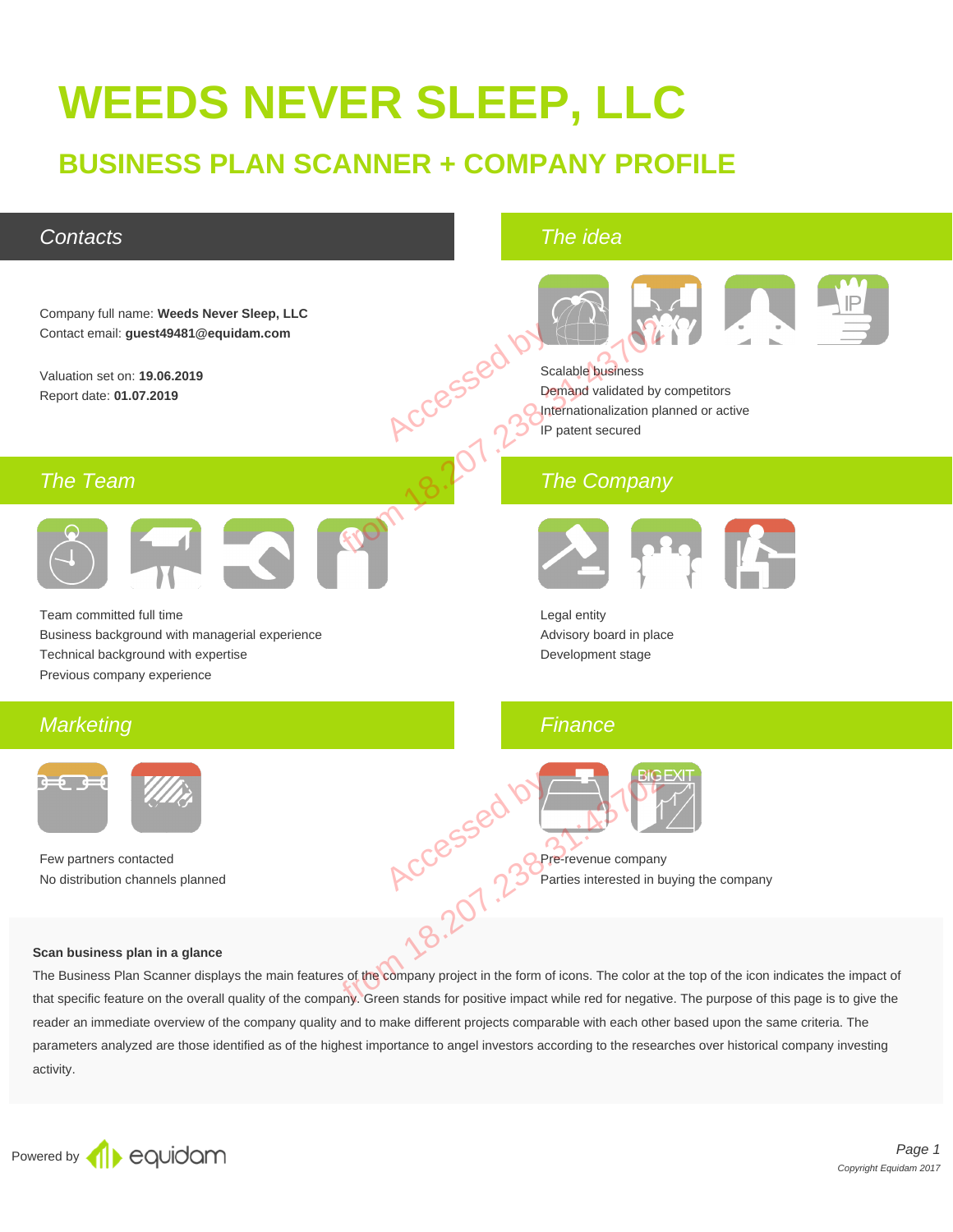# **WEEDS NEVER SLEEP, LLC**

# **BUSINESS PLAN SCANNER + COMPANY PROFILE**

### **Contacts**

The idea



#### **Scan business plan in a glance**

The Business Plan Scanner displays the main features of the company project in the form of icons. The color at the top of the icon indicates the impact of that specific feature on the overall quality of the company. Green stands for positive impact while red for negative. The purpose of this page is to give the reader an immediate overview of the company quality and to make different projects comparable with each other based upon the same criteria. The parameters analyzed are those identified as of the highest importance to angel investors according to the researches over historical company investing activity.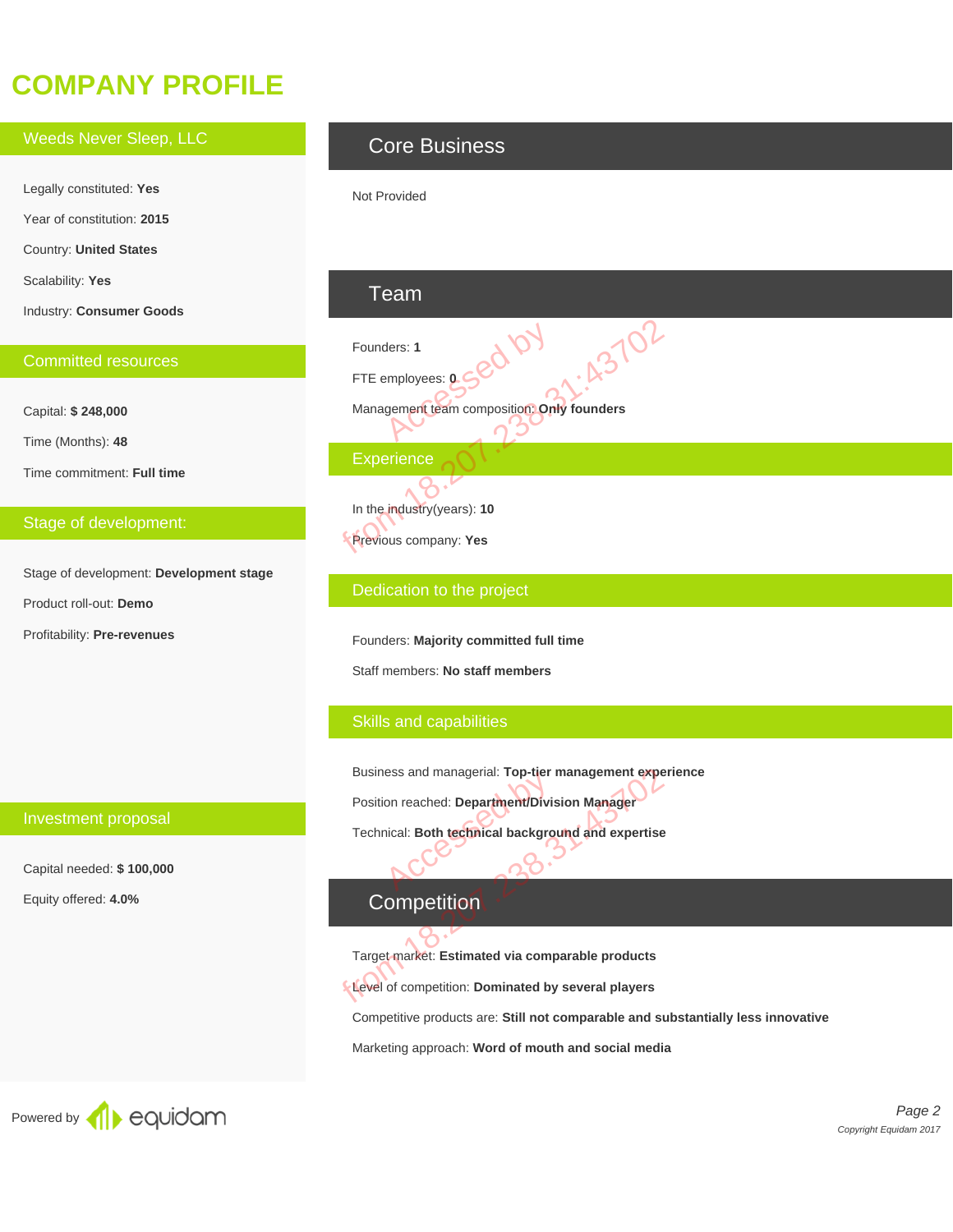# **COMPANY PROFILE**

Weeds Never Sleep, LLC Legally constituted: **Yes** Year of constitution: **2015** Country: **United States** Scalability: **Yes** Industry: **Consumer Goods**

#### Committed resources

Capital: **\$ 248,000**

Time (Months): **48**

Time commitment: **Full time**

#### Stage of development:

Investment proposal

Capital needed: **\$ 100,000**

Equity offered: **4.0%**

Stage of development: **Development stage** Product roll-out: **Demo** Profitability: **Pre-revenues**

### Core Business

Not Provided

### Team

Founders: **1** FTE employees: **0** Management team composition: **Only founders Experience** ders: 1<br>
employees: **0560** Founders: 1<br>
FTE employees: 0<br>
Management team composition Only founders<br>
Experience<br>
8<br>
In the industry (years): 10<br>
Previous company: Yes<br>
Dedication to the project

In the industry(years): **10** Previous company: **Yes**

#### Dedication to the project

Founders: **Majority committed full time**

Staff members: **No staff members**

#### Skills and capabilities

Business and managerial: **Top-tier management experience** Position reached: **Department/Division Manager** Example Individual Department/Divis<br>Dical: Both technical background Business and managerial: Top-tier management experience of the probability of the state of competition.<br>
Technical: Both technical background and expertise<br>
Competition<br>
Target market: Estimated via comparable products<br>
Le

Technical: **Both technical background and expertise**

### **Competition**

Target market: **Estimated via comparable products**

Level of competition: **Dominated by several players**

Competitive products are: **Still not comparable and substantially less innovative**

Marketing approach: **Word of mouth and social media**



Page 2 Copyright Equidam 2017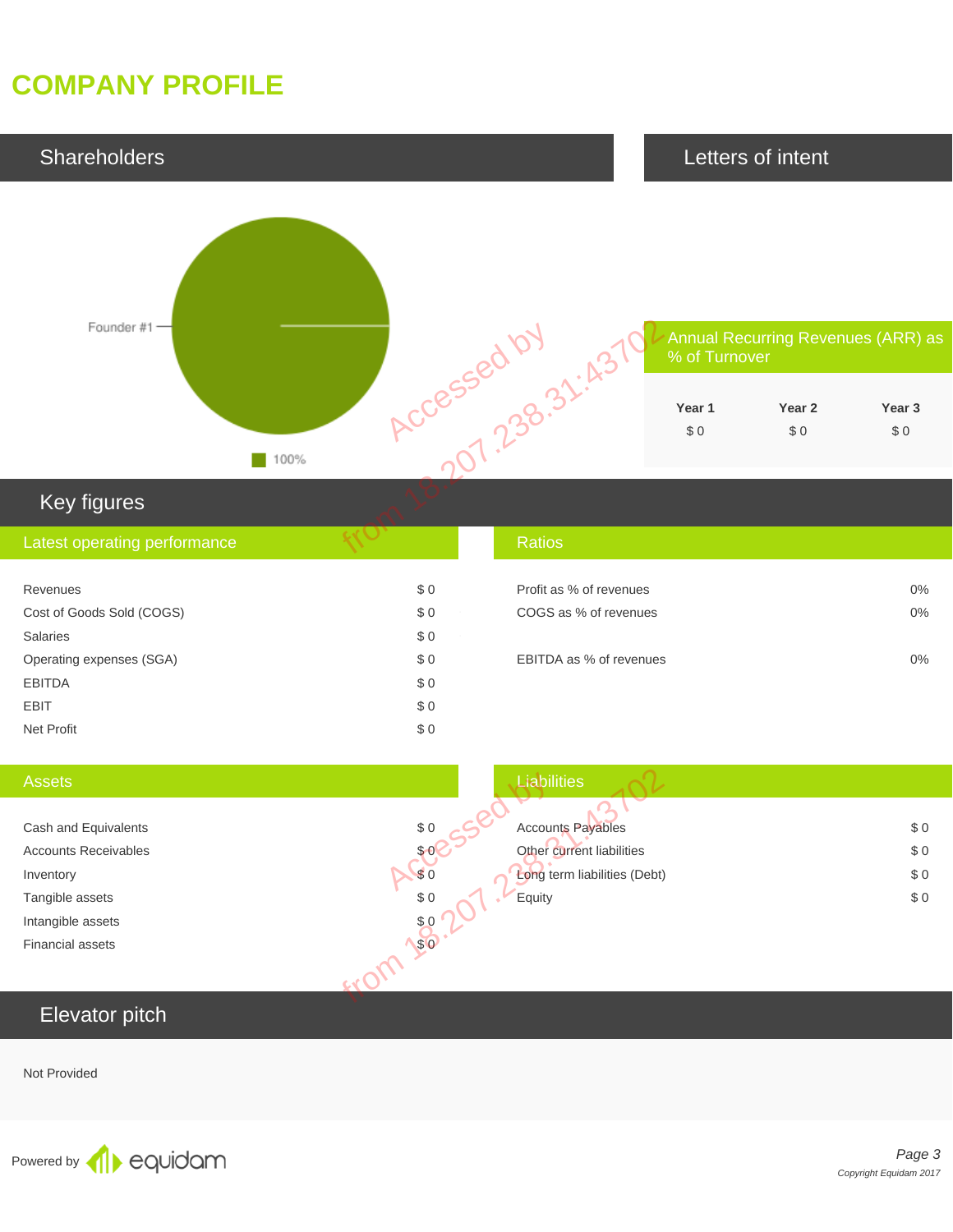# **COMPANY PROFILE**



### Key figures

| Latest operating performance |     | <b>Ratios</b>           |    |
|------------------------------|-----|-------------------------|----|
|                              |     |                         |    |
| Revenues                     | \$0 | Profit as % of revenues | 0% |
| Cost of Goods Sold (COGS)    | \$0 | COGS as % of revenues   | 0% |
| <b>Salaries</b>              | \$0 |                         |    |
| Operating expenses (SGA)     | \$0 | EBITDA as % of revenues | 0% |
| <b>EBITDA</b>                | \$0 |                         |    |
| <b>EBIT</b>                  | \$0 |                         |    |
| Net Profit                   | \$0 |                         |    |

| <b>Assets</b>               | Liabilities                         |       |
|-----------------------------|-------------------------------------|-------|
|                             |                                     |       |
| Cash and Equivalents        | \$0<br><b>Accounts Payables</b>     | \$0   |
| <b>Accounts Receivables</b> | Other current liabilities<br>\$6    | \$0   |
| Inventory                   | \$0<br>Long term liabilities (Debt) | $\$0$ |
| Tangible assets             | \$0<br>Equity                       | \$0   |
| Intangible assets           | \$0                                 |       |
| <b>Financial assets</b>     | \$0                                 |       |
|                             |                                     |       |
| Elevator pitch              |                                     |       |
|                             |                                     |       |

### Elevator pitch

Not Provided

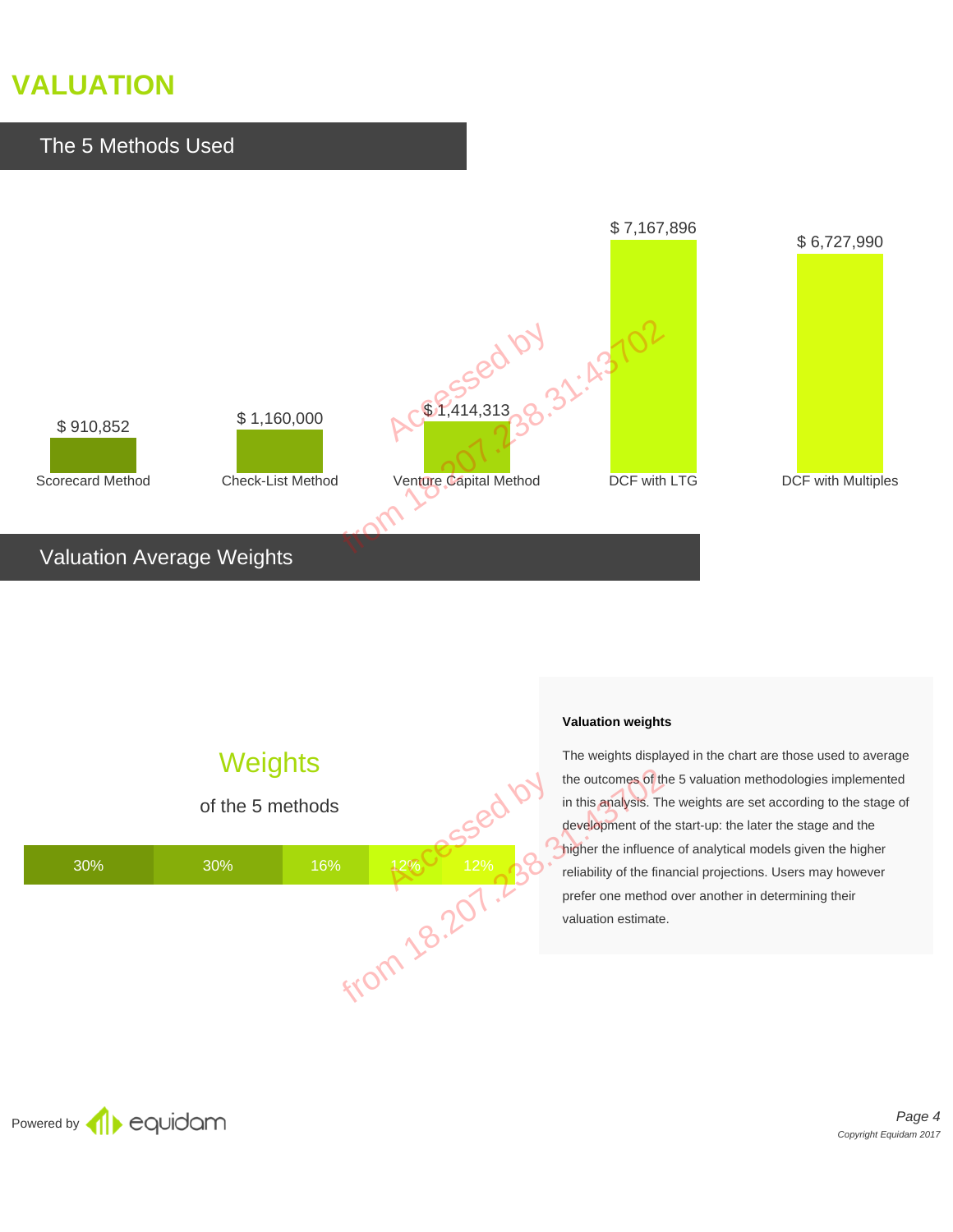# **VALUATION**



### Valuation Average Weights

# **Weights**



#### **Valuation weights**

The weights displayed in the chart are those used to average the outcomes of the 5 valuation methodologies implemented in this analysis. The weights are set according to the stage of development of the start-up: the later the stage and the higher the influence of analytical models given the higher reliability of the financial projections. Users may however prefer one method over another in determining their valuation estimate.

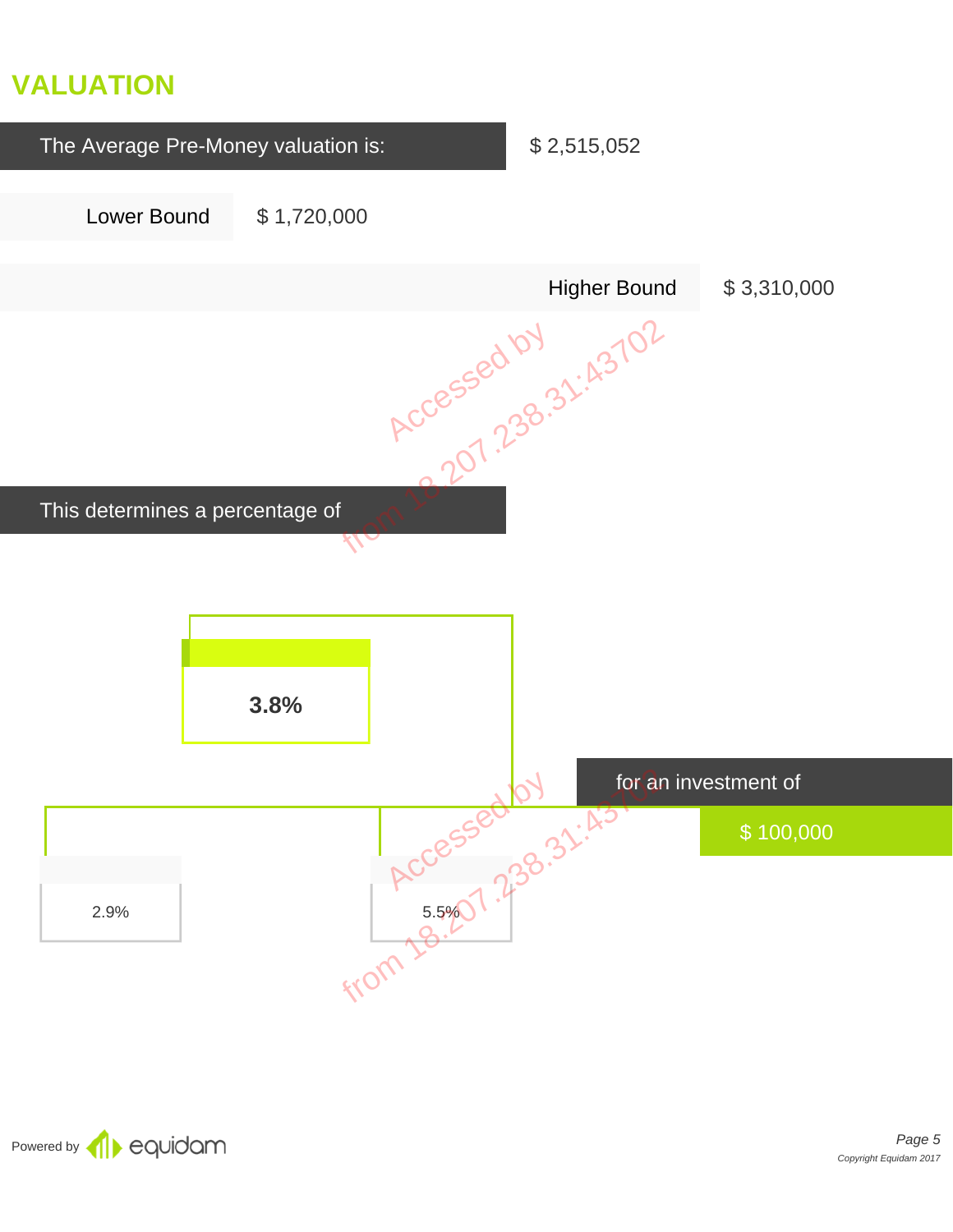# **VALUATION**



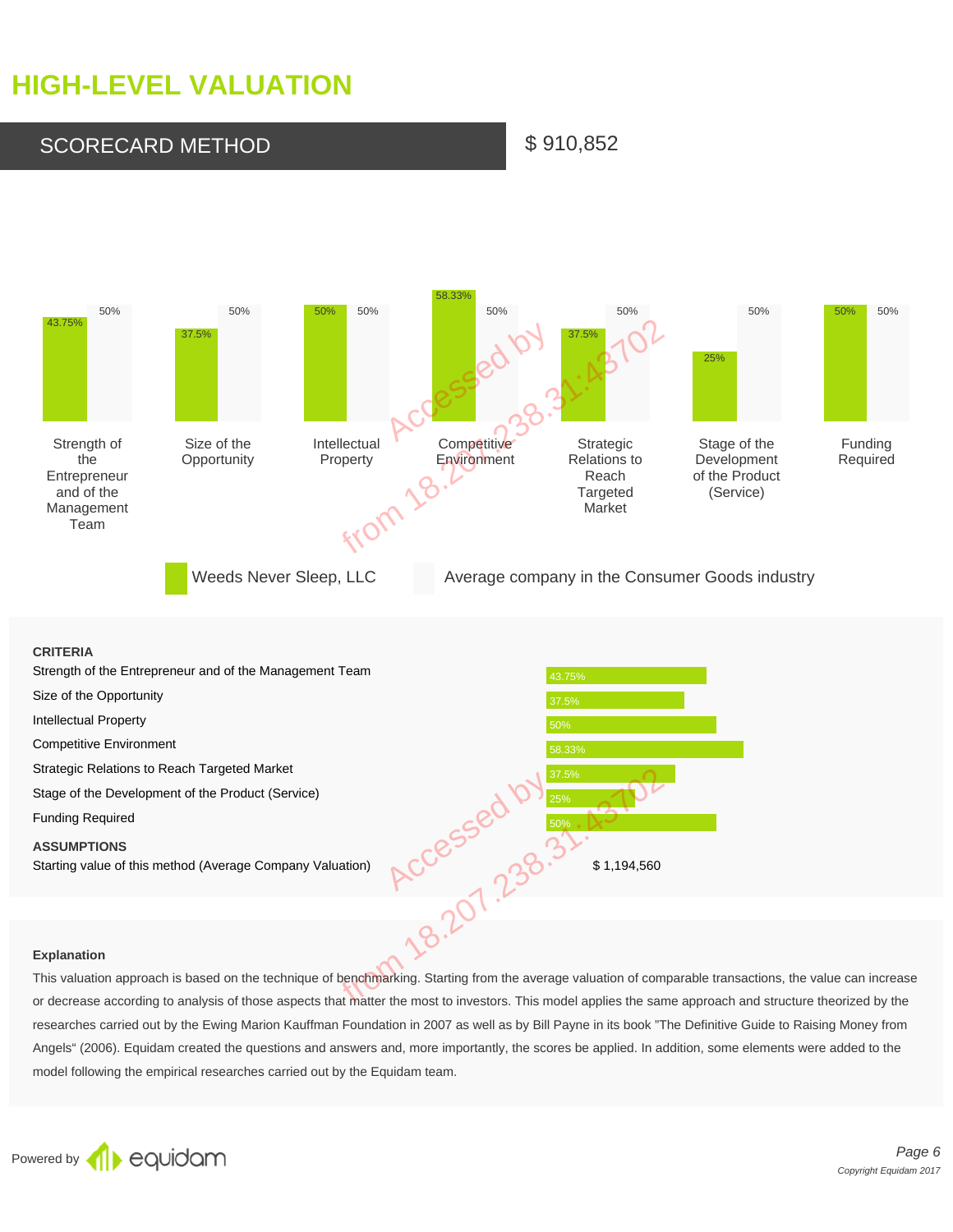# **HIGH-LEVEL VALUATION**

SCORECARD METHOD \$910,852

#### 43.75% 50% 37.5% 50% 50% 50% 58.33% 50% 37.5% 50% 25% 50% 50% 50% Strength of the **Entrepreneur** and of the Management Team Size of the **Opportunity** Intellectual Property **Competitive Environment** Strategic Relations to Reach **Targeted** Market Stage of the Development of the Product (Service) Funding Required Weeds Never Sleep, LLC . Average company in the Consumer Goods industry Accessed by from 18

#### **CRITERIA**

| Strength of the Entrepreneur and of the Management Team   | 43.75%                                                                                                                         |
|-----------------------------------------------------------|--------------------------------------------------------------------------------------------------------------------------------|
| Size of the Opportunity                                   | 37.5%                                                                                                                          |
| <b>Intellectual Property</b>                              | 50%                                                                                                                            |
| <b>Competitive Environment</b>                            | 58.33%                                                                                                                         |
| Strategic Relations to Reach Targeted Market              | 37.5%                                                                                                                          |
| Stage of the Development of the Product (Service)         | 25%                                                                                                                            |
| <b>Funding Required</b>                                   | 50%                                                                                                                            |
| <b>ASSUMPTIONS</b>                                        |                                                                                                                                |
| Starting value of this method (Average Company Valuation) | \$1,194,560                                                                                                                    |
|                                                           |                                                                                                                                |
|                                                           |                                                                                                                                |
| <b>Explanation</b>                                        |                                                                                                                                |
|                                                           | This valuation approach is based on the technique of benchmarking. Starting from the average valuation of comparable transa    |
|                                                           | or decrease according to analysis of those aspects that matter the most to investors. This model applies the same approach are |
|                                                           | researches carried out by the Ewing Marion Kauffman Foundation in 2007 as well as by Bill Payne in its book "The Definitive G  |
|                                                           | Angels" (2006). Fauldam created the questions and answers and more importantly the scores be applied In addition, some e       |

#### **Explanation**

This valuation approach is based on the technique of benchmarking. Starting from the average valuation of comparable transactions, the value can increase or decrease according to analysis of those aspects that matter the most to investors. This model applies the same approach and structure theorized by the researches carried out by the Ewing Marion Kauffman Foundation in 2007 as well as by Bill Payne in its book "The Definitive Guide to Raising Money from Angels" (2006). Equidam created the questions and answers and, more importantly, the scores be applied. In addition, some elements were added to the model following the empirical researches carried out by the Equidam team.

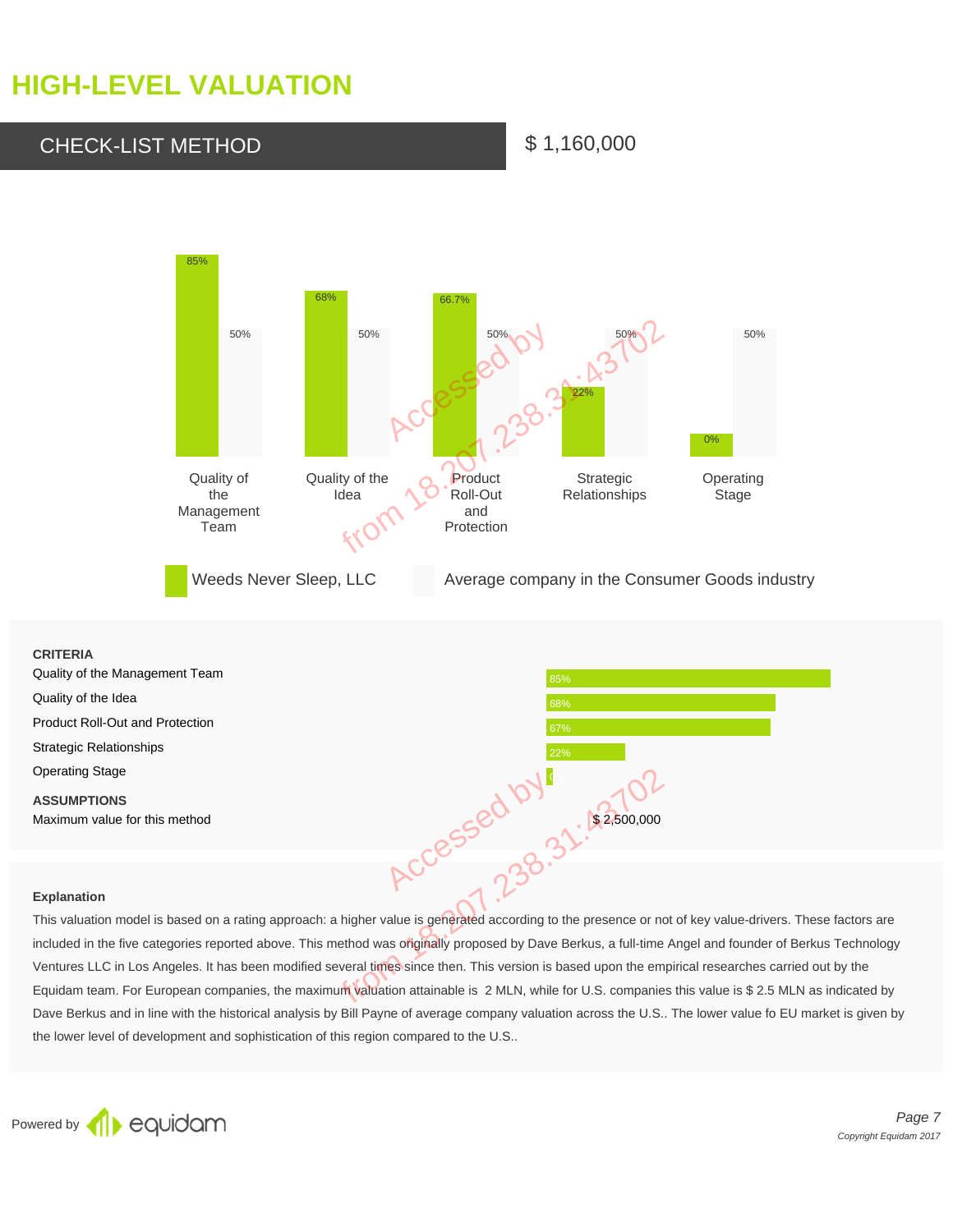# **HIGH-LEVEL VALUATION**

### CHECK-LIST METHOD \$1,160,000



## **CRITERIA** Quality of the Management Team Quality of the Idea Product Roll-Out and Protection 67% and the state of the state of  $\frac{67}{67}$ Strategic Relationships 22% Operating Stage **0%** and 200 million and 200 million and 200 million and 200 million and 200 million and 200 million **ASSUMPTIONS** Maximum value for this method  $\sim$  2,500,000

#### **Explanation**

This valuation model is based on a rating approach: a higher value is generated according to the presence or not of key value-drivers. These factors are included in the five categories reported above. This method was originally proposed by Dave Berkus, a full-time Angel and founder of Berkus Technology Ventures LLC in Los Angeles. It has been modified several times since then. This version is based upon the empirical researches carried out by the Equidam team. For European companies, the maximum valuation attainable is 2 MLN, while for U.S. companies this value is \$ 2.5 MLN as indicated by Dave Berkus and in line with the historical analysis by Bill Payne of average company valuation across the U.S.. The lower value fo EU market is given by the lower level of development and sophistication of this region compared to the U.S.. ACCESSED BY A FRANCES<br>
Proach: a higher value is generated according to the presence or note.<br>
This method was originally proposed by Dave Berkus, a full-time<br>
bodified several times since then. This version is based upon



Page 7 Copyright Equidam 2017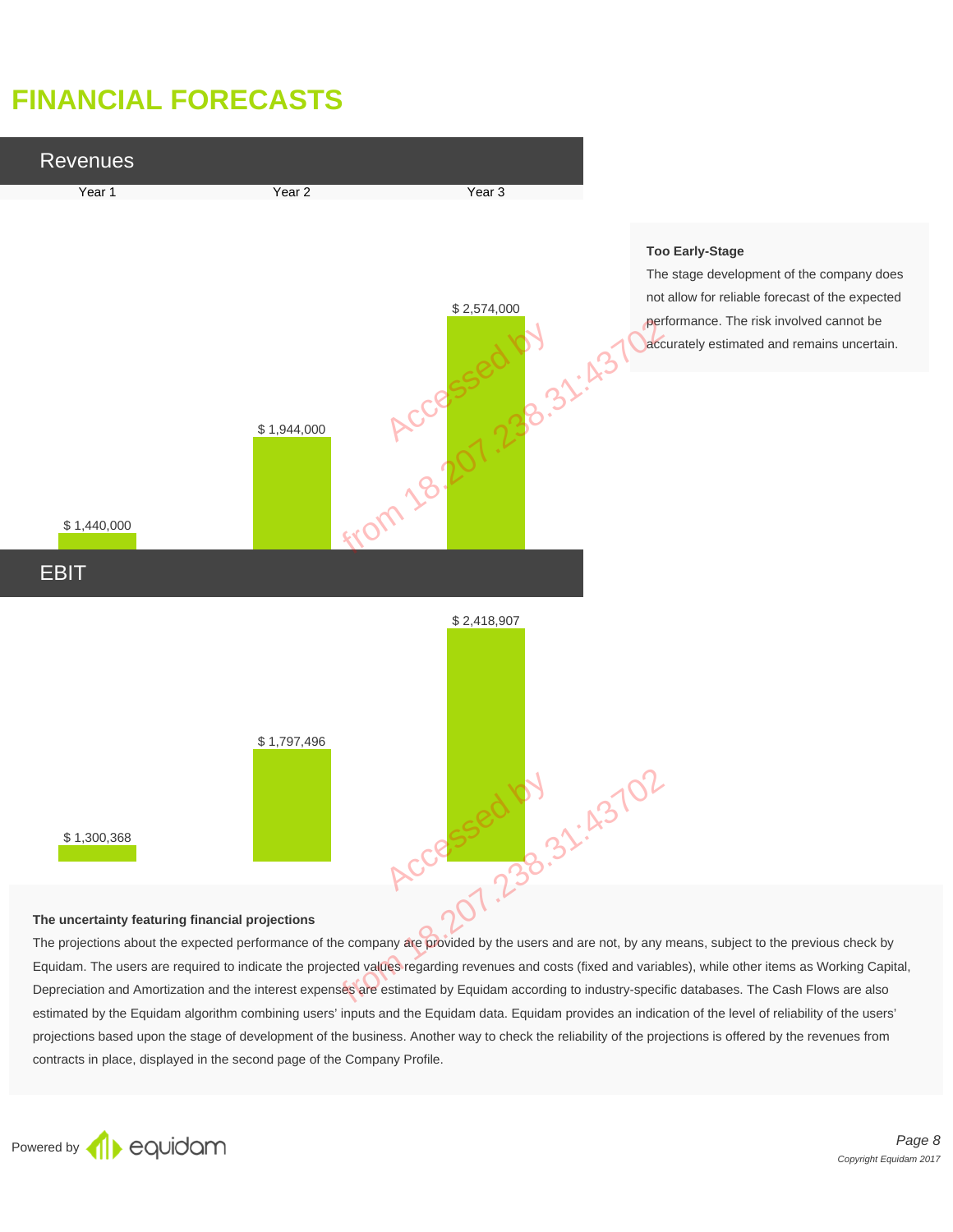# **FINANCIAL FORECASTS**



#### **The uncertainty featuring financial projections**

The projections about the expected performance of the company are provided by the users and are not, by any means, subject to the previous check by Equidam. The users are required to indicate the projected values regarding revenues and costs (fixed and variables), while other items as Working Capital, Depreciation and Amortization and the interest expenses are estimated by Equidam according to industry-specific databases. The Cash Flows are also estimated by the Equidam algorithm combining users' inputs and the Equidam data. Equidam provides an indication of the level of reliability of the users' projections based upon the stage of development of the business. Another way to check the reliability of the projections is offered by the revenues from contracts in place, displayed in the second page of the Company Profile.

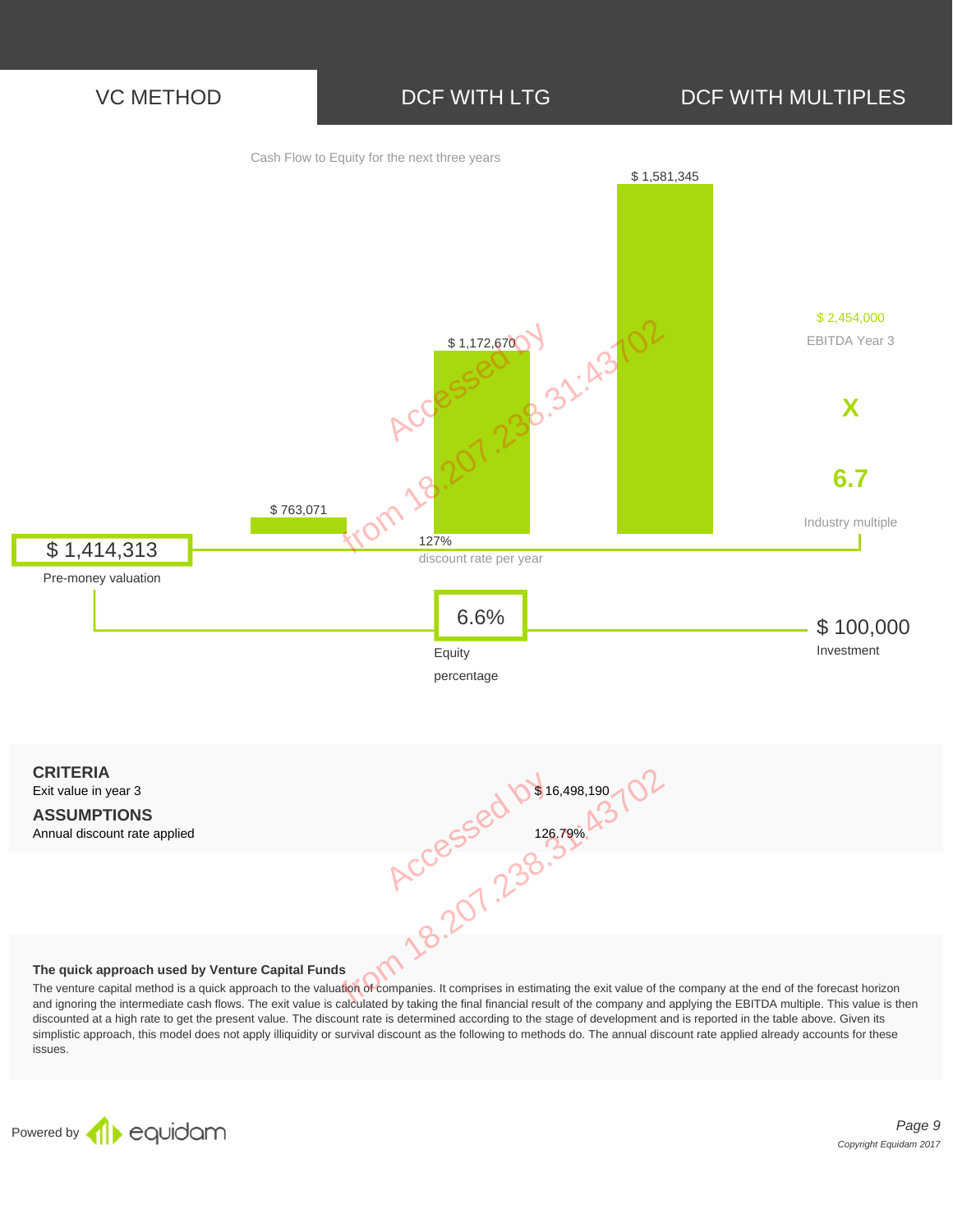



The venture capital method is a quick approach to the valuation of companies. It comprises in estimating the exit value of the company at the end of the forecast horizon and ignoring the intermediate cash flows. The exit value is calculated by taking the final financial result of the company and applying the EBITDA multiple. This value is then discounted at a high rate to get the present value. The discount rate is determined according to the stage of development and is reported in the table above. Given its simplistic approach, this model does not apply illiquidity or survival discount as the following to methods do. The annual discount rate applied already accounts for these issues.

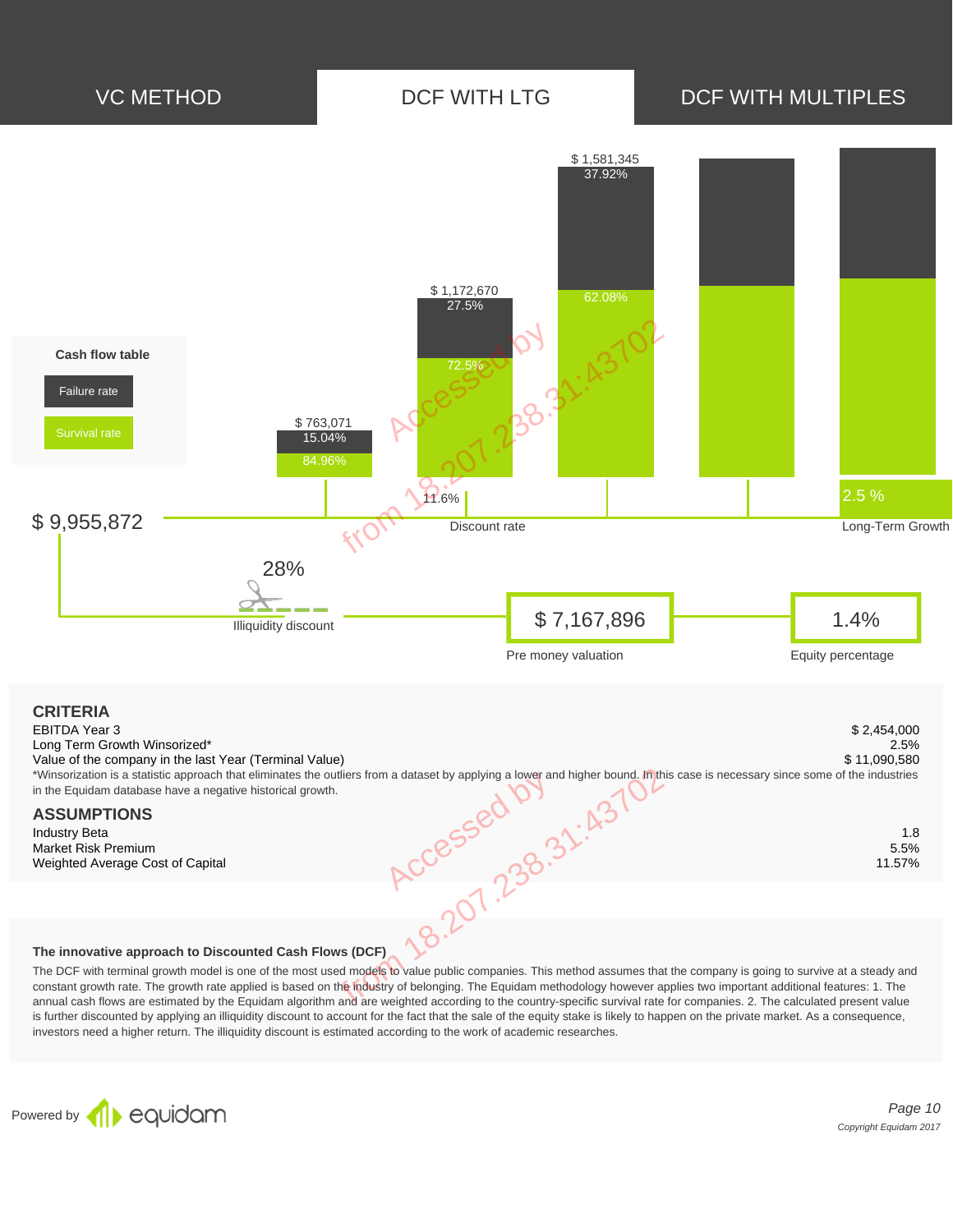

#### **The innovative approach to Discounted Cash Flows (DCF)**

The DCF with terminal growth model is one of the most used models to value public companies. This method assumes that the company is going to survive at a steady and constant growth rate. The growth rate applied is based on the industry of belonging. The Equidam methodology however applies two important additional features: 1. The annual cash flows are estimated by the Equidam algorithm and are weighted according to the country-specific survival rate for companies. 2. The calculated present value is further discounted by applying an illiquidity discount to account for the fact that the sale of the equity stake is likely to happen on the private market. As a consequence, investors need a higher return. The illiquidity discount is estimated according to the work of academic researches.



Page 10 Copyright Equidam 2017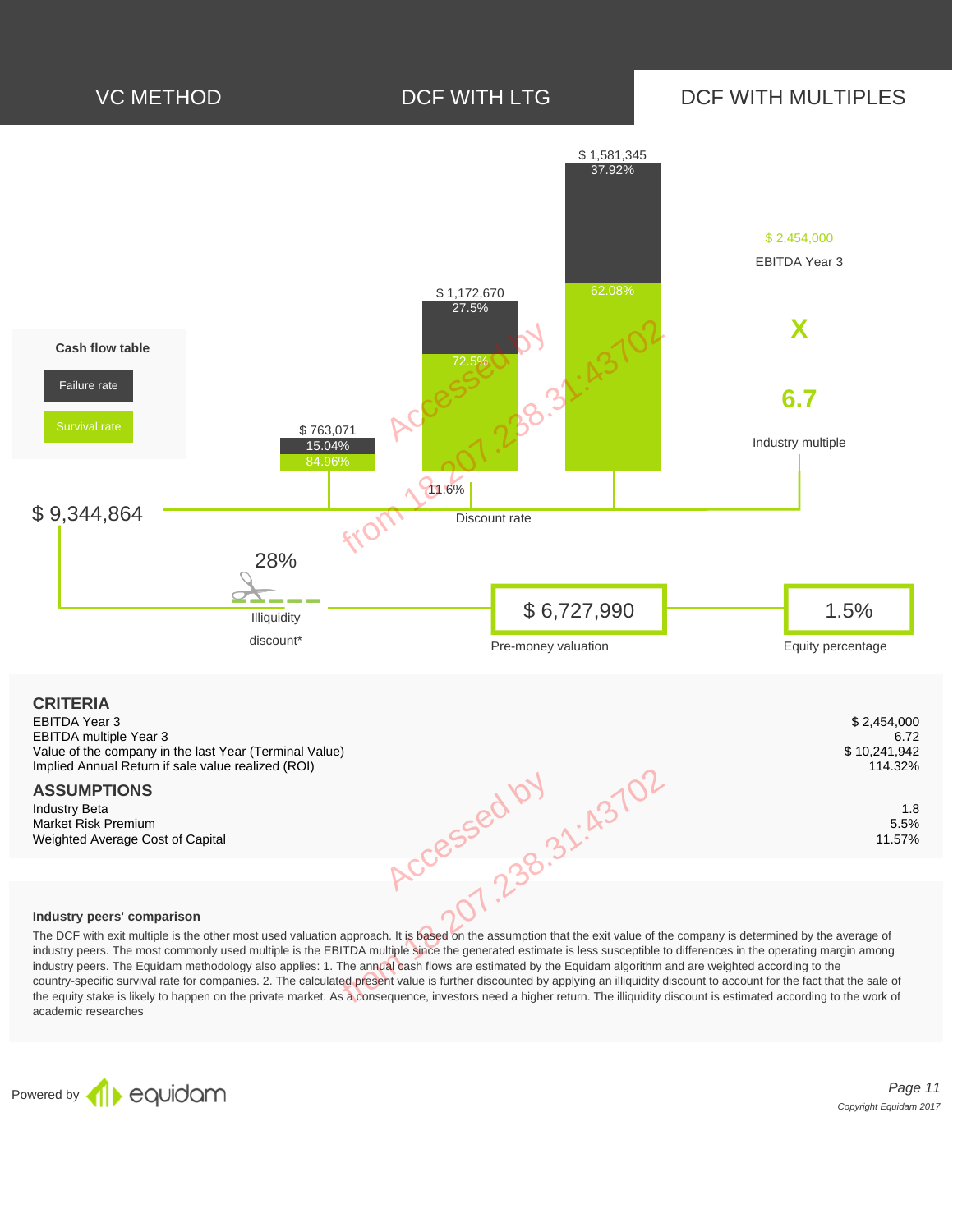

#### **Industry peers' comparison**

The DCF with exit multiple is the other most used valuation approach. It is based on the assumption that the exit value of the company is determined by the average of industry peers. The most commonly used multiple is the EBITDA multiple since the generated estimate is less susceptible to differences in the operating margin among industry peers. The Equidam methodology also applies: 1. The annual cash flows are estimated by the Equidam algorithm and are weighted according to the country-specific survival rate for companies. 2. The calculated present value is further discounted by applying an illiquidity discount to account for the fact that the sale of the equity stake is likely to happen on the private market. As a consequence, investors need a higher return. The illiquidity discount is estimated according to the work of academic researches

Powered by **1** equidam

Page 11 Copyright Equidam 2017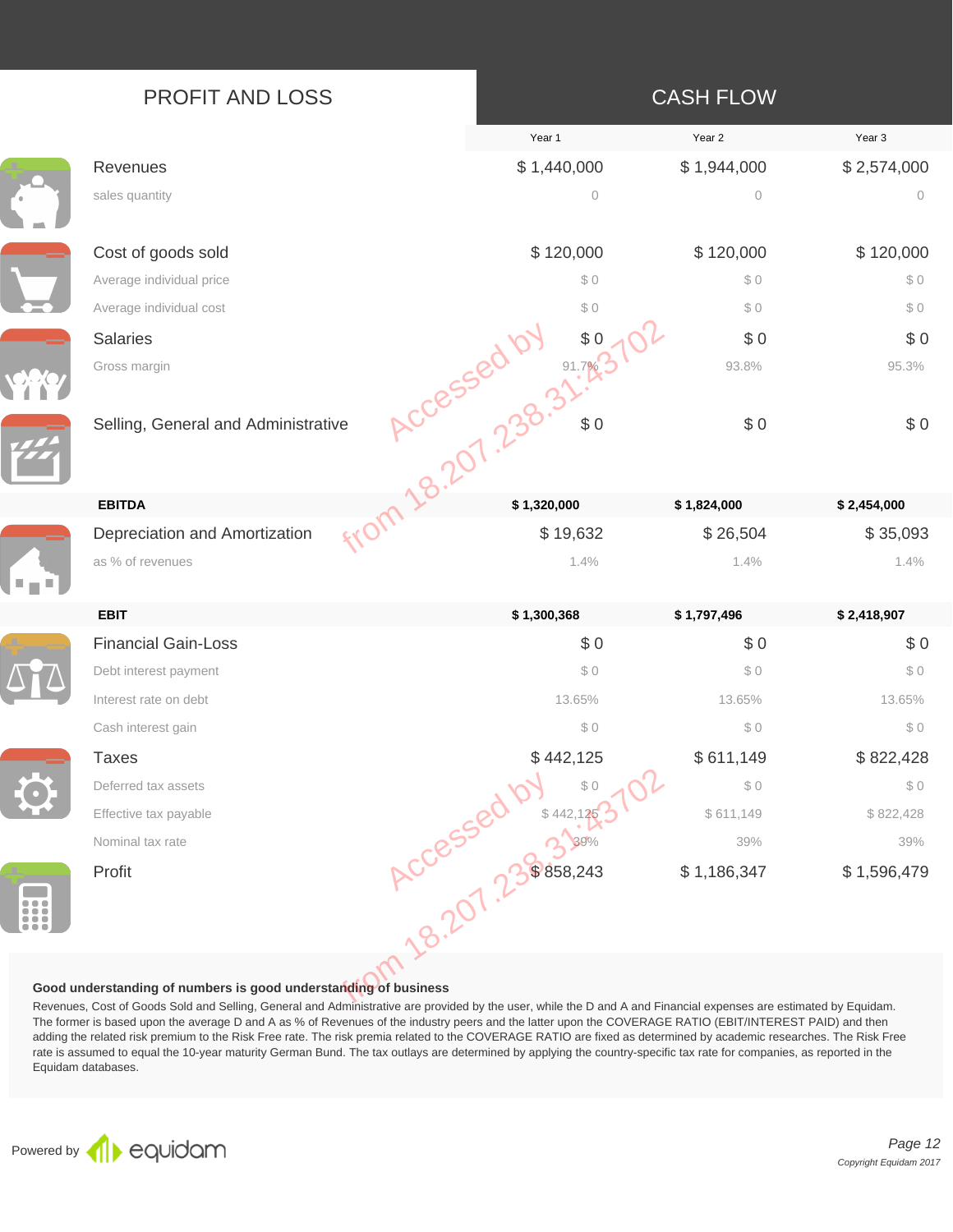| <b>PROFIT AND LOSS</b> |  |  |
|------------------------|--|--|
|------------------------|--|--|

Ŀ,

**There** 

### **CASH FLOW**

|   |                                                                                                                                                                                                                                                                                                                                                                                                                                                                                                                                                                        | Year 1                           | Year 2      | Year <sub>3</sub> |
|---|------------------------------------------------------------------------------------------------------------------------------------------------------------------------------------------------------------------------------------------------------------------------------------------------------------------------------------------------------------------------------------------------------------------------------------------------------------------------------------------------------------------------------------------------------------------------|----------------------------------|-------------|-------------------|
|   | Revenues                                                                                                                                                                                                                                                                                                                                                                                                                                                                                                                                                               | \$1,440,000                      | \$1,944,000 | \$2,574,000       |
|   | sales quantity                                                                                                                                                                                                                                                                                                                                                                                                                                                                                                                                                         | $\circ$                          | $\circ$     | $\circ$           |
|   | Cost of goods sold                                                                                                                                                                                                                                                                                                                                                                                                                                                                                                                                                     | \$120,000                        | \$120,000   | \$120,000         |
|   | Average individual price                                                                                                                                                                                                                                                                                                                                                                                                                                                                                                                                               | \$0                              | \$0         | \$0               |
|   | Average individual cost                                                                                                                                                                                                                                                                                                                                                                                                                                                                                                                                                | \$0                              | \$0         | \$0               |
|   | <b>Salaries</b>                                                                                                                                                                                                                                                                                                                                                                                                                                                                                                                                                        |                                  | \$0         | \$0               |
|   | Gross margin                                                                                                                                                                                                                                                                                                                                                                                                                                                                                                                                                           |                                  | 93.8%       | 95.3%             |
|   | Selling, General and Administrative                                                                                                                                                                                                                                                                                                                                                                                                                                                                                                                                    | <b>Accessed by 97.1.1</b><br>\$0 | \$0         | \$0               |
|   | <b>EBITDA</b>                                                                                                                                                                                                                                                                                                                                                                                                                                                                                                                                                          |                                  | \$1,824,000 | \$2,454,000       |
|   | Depreciation and Amortization                                                                                                                                                                                                                                                                                                                                                                                                                                                                                                                                          | \$19,632                         | \$26,504    | \$35,093          |
|   | as % of revenues                                                                                                                                                                                                                                                                                                                                                                                                                                                                                                                                                       | 1.4%                             | 1.4%        | 1.4%              |
|   | <b>EBIT</b>                                                                                                                                                                                                                                                                                                                                                                                                                                                                                                                                                            | \$1,300,368                      | \$1,797,496 | \$2,418,907       |
|   | <b>Financial Gain-Loss</b>                                                                                                                                                                                                                                                                                                                                                                                                                                                                                                                                             | \$0                              | \$0         | \$0               |
|   | Debt interest payment                                                                                                                                                                                                                                                                                                                                                                                                                                                                                                                                                  | \$0                              | \$0         | \$0               |
|   | Interest rate on debt                                                                                                                                                                                                                                                                                                                                                                                                                                                                                                                                                  | 13.65%                           | 13.65%      | 13.65%            |
|   | Cash interest gain                                                                                                                                                                                                                                                                                                                                                                                                                                                                                                                                                     | \$0                              | \$0         | \$0               |
|   | <b>Taxes</b>                                                                                                                                                                                                                                                                                                                                                                                                                                                                                                                                                           | \$442,125                        | \$611,149   | \$822,428         |
|   | Deferred tax assets                                                                                                                                                                                                                                                                                                                                                                                                                                                                                                                                                    | \$0                              | \$0         | \$0               |
|   | Effective tax payable                                                                                                                                                                                                                                                                                                                                                                                                                                                                                                                                                  |                                  | \$611,149   | \$822,428         |
|   | Nominal tax rate                                                                                                                                                                                                                                                                                                                                                                                                                                                                                                                                                       |                                  | 39%         | 39%               |
| Ŧ | Profit                                                                                                                                                                                                                                                                                                                                                                                                                                                                                                                                                                 | ACCESSED N \$ 442.               | \$1,186,347 | \$1,596,479       |
|   | Good understanding of numbers is good understanding of business<br>Revenues, Cost of Goods Sold and Selling, General and Administrative are provided by the user, while the D and A and Financial expenses are estimated by Equidam.<br>The former is based upon the average D and A as % of Revenues of the industry peers and the latter upon the COVERAGE RATIO (EBIT/INTEREST PAID) and then<br>adding the related risk premium to the Risk Free rate. The risk premia related to the COVERAGE RATIO are fixed as determined by academic researches. The Risk Free |                                  |             |                   |

#### **Good understanding of numbers is good understanding of business**

Revenues, Cost of Goods Sold and Selling, General and Administrative are provided by the user, while the D and A and Financial expenses are estimated by Equidam. The former is based upon the average D and A as % of Revenues of the industry peers and the latter upon the COVERAGE RATIO (EBIT/INTEREST PAID) and then adding the related risk premium to the Risk Free rate. The risk premia related to the COVERAGE RATIO are fixed as determined by academic researches. The Risk Free rate is assumed to equal the 10-year maturity German Bund. The tax outlays are determined by applying the country-specific tax rate for companies, as reported in the Equidam databases.

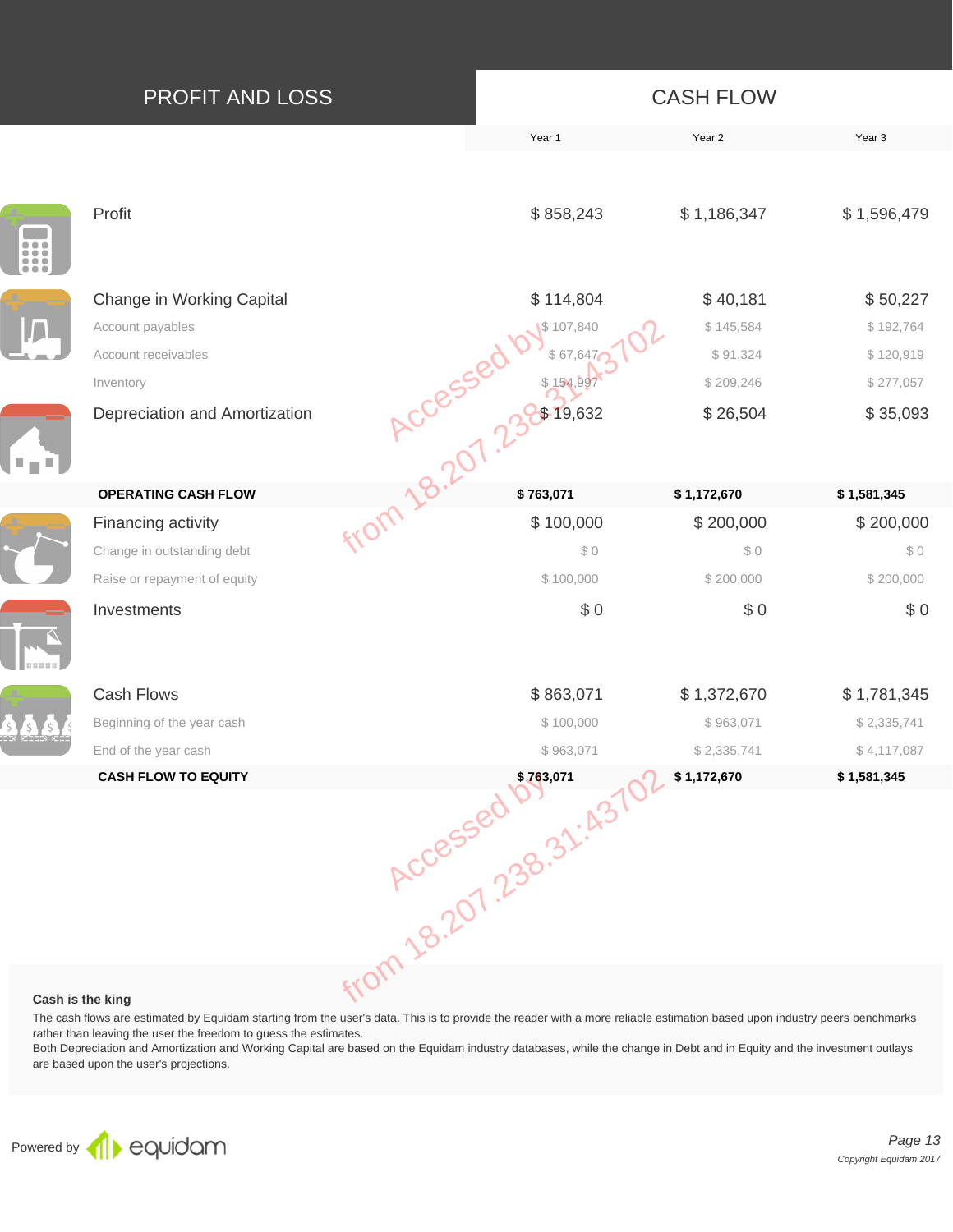| PROFIT AND LOSS                                                                                                                                                                                                                                                   |                  |                                                         | <b>CASH FLOW</b>                                           |                                                             |
|-------------------------------------------------------------------------------------------------------------------------------------------------------------------------------------------------------------------------------------------------------------------|------------------|---------------------------------------------------------|------------------------------------------------------------|-------------------------------------------------------------|
|                                                                                                                                                                                                                                                                   |                  | Year 1                                                  | Year 2                                                     | Year 3                                                      |
| Profit                                                                                                                                                                                                                                                            |                  | \$858,243                                               | \$1,186,347                                                | \$1,596,479                                                 |
| Change in Working Capital<br>Account payables<br>Account receivables<br>Inventory<br>Depreciation and Amortization                                                                                                                                                | from 18.207 2207 | \$114,804<br>\$107,840<br>\$67,647<br>\$154<br>\$19,632 | \$40,181<br>\$145,584<br>\$91,324<br>\$209,246<br>\$26,504 | \$50,227<br>\$192,764<br>\$120,919<br>\$277,057<br>\$35,093 |
| <b>OPERATING CASH FLOW</b>                                                                                                                                                                                                                                        |                  | \$763,071                                               | \$1,172,670                                                | \$1,581,345                                                 |
| Financing activity<br>Change in outstanding debt<br>Raise or repayment of equity<br>Investments                                                                                                                                                                   |                  | \$100,000<br>\$0<br>\$100,000<br>\$0                    | \$200,000<br>\$0<br>\$200,000<br>\$0                       | \$200,000<br>\$0<br>\$200,000<br>\$0                        |
| <b>Cash Flows</b><br>Beginning of the year cash<br>End of the year cash<br><b>CASH FLOW TO EQUITY</b>                                                                                                                                                             |                  |                                                         | \$1,372,670<br>\$963,071<br>\$2,335,741                    | \$1,781,345<br>\$2,335,741<br>\$4,117,087<br>\$1,581,345    |
| Cash is the king<br>The cash flows are estimated by Equidam starting from the user's data. This is to provide the reader with a more reliable estimation based upon industry peers benchmarks<br>rather than leaving the user the freedom to guess the estimates. |                  | 100,000 \$963,071 \$2.3                                 |                                                            |                                                             |

#### **Cash is the king**

Both Depreciation and Amortization and Working Capital are based on the Equidam industry databases, while the change in Debt and in Equity and the investment outlays are based upon the user's projections.

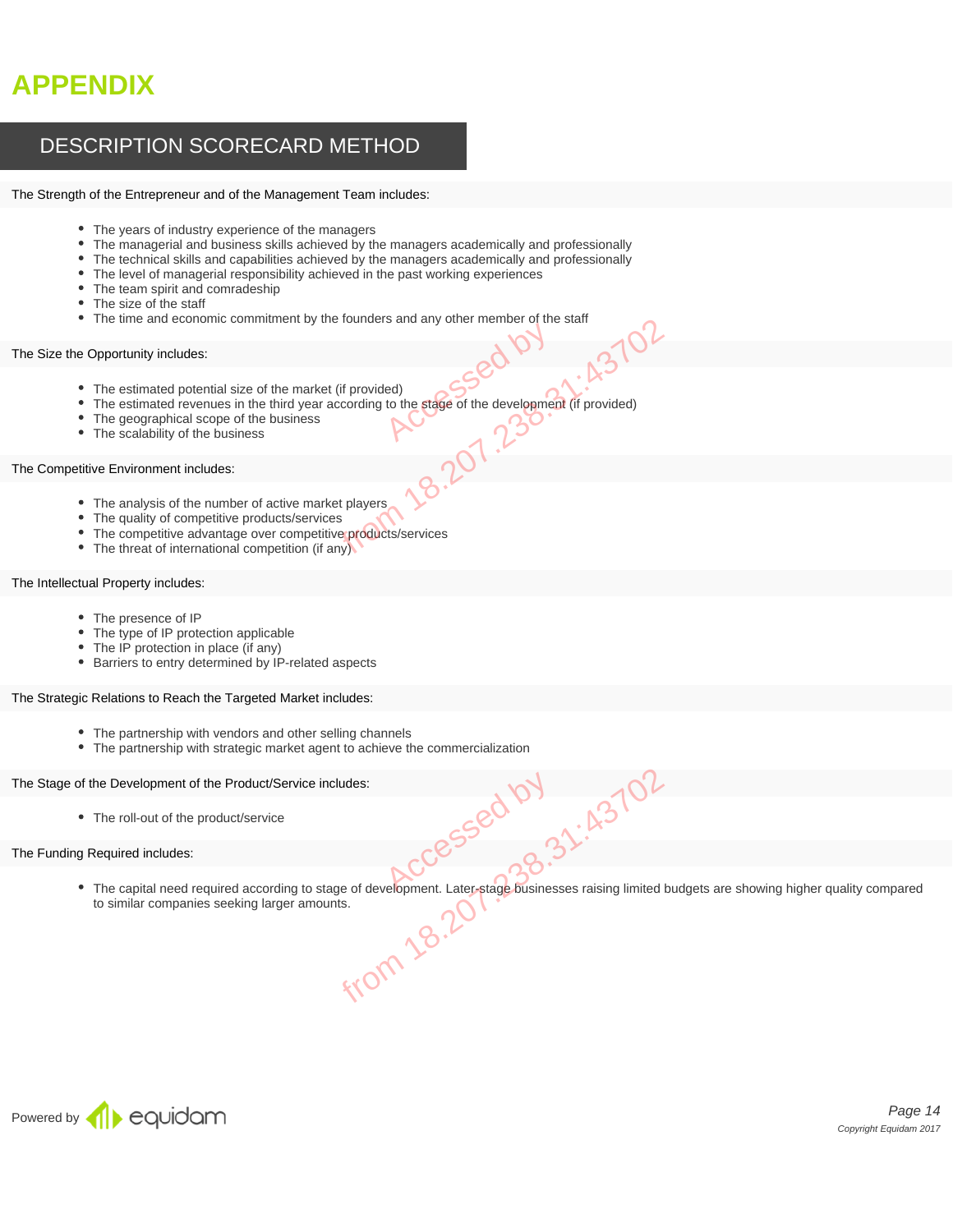# **APPENDIX**

### DESCRIPTION SCORECARD METHOD

#### The Strength of the Entrepreneur and of the Management Team includes:

- The years of industry experience of the managers
- The managerial and business skills achieved by the managers academically and professionally
- The technical skills and capabilities achieved by the managers academically and professionally
- The level of managerial responsibility achieved in the past working experiences
- The team spirit and comradeship
- The size of the staff
- The time and economic commitment by the founders and any other member of the staff

#### The Size the Opportunity includes:

- The estimated potential size of the market (if provided)
- The estimated revenues in the third year according to the stage of the development (if provided) Example to the stage of the development (if provided)<br>
Example: (if provided)<br>
Siness<br>
Services<br>
Syservices<br>
Syservices<br>
Syservices<br>
Contract players<br>
Contract provided)<br>
Contract provided<br>
Contract provided<br>
Contract prov
- The geographical scope of the business
- The scalability of the business

#### The Competitive Environment includes:

- The analysis of the number of active market players
- The quality of competitive products/services
- The competitive advantage over competitive products/services
- The threat of international competition (if any)

#### The Intellectual Property includes:

- The presence of IP
- The type of IP protection applicable
- The IP protection in place (if any)
- Barriers to entry determined by IP-related aspects

#### The Strategic Relations to Reach the Targeted Market includes:

- The partnership with vendors and other selling channels
- The partnership with strategic market agent to achieve the commercialization

#### The Stage of the Development of the Product/Service includes:

• The roll-out of the product/service

#### The Funding Required includes:

• The capital need required according to stage of development. Later-stage businesses raising limited budgets are showing higher quality compared to similar companies seeking larger amounts. to similar companies seeking larger amounts. envice includes:<br>
Accessed by Accessed by Accessed Accesses raising limited<br>
Framounts.<br>
FIOM 18.2071

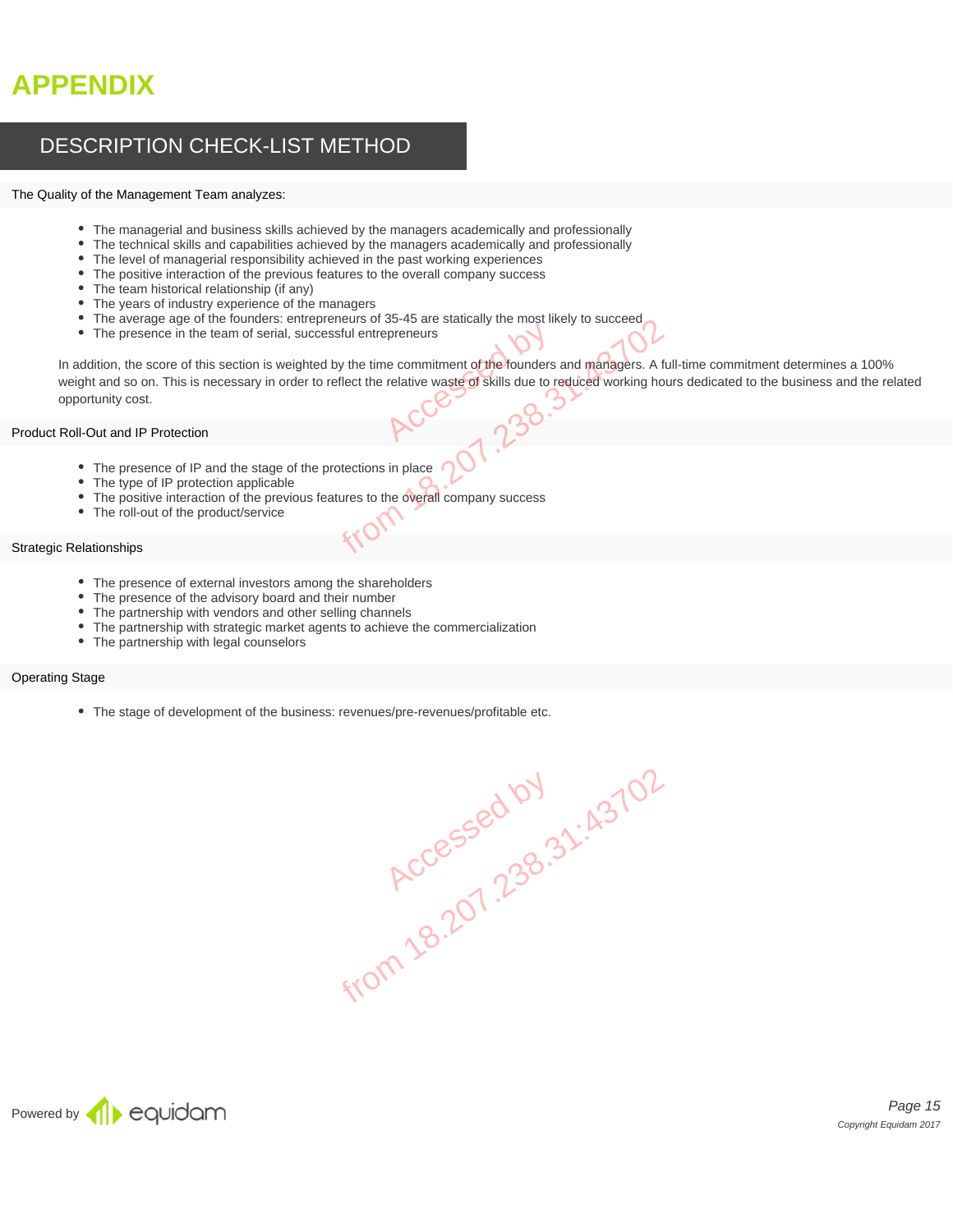# **APPENDIX**

### DESCRIPTION CHECK-LIST METHOD

#### The Quality of the Management Team analyzes:

- The managerial and business skills achieved by the managers academically and professionally
- The technical skills and capabilities achieved by the managers academically and professionally
- The level of managerial responsibility achieved in the past working experiences
- The positive interaction of the previous features to the overall company success
- The team historical relationship (if any)
- The years of industry experience of the managers
- The average age of the founders: entrepreneurs of 35-45 are statically the most likely to succeed
- The presence in the team of serial, successful entrepreneurs

In addition, the score of this section is weighted by the time commitment of the founders and managers. A full-time commitment determines a 100% weight and so on. This is necessary in order to reflect the relative waste of skills due to reduced working hours dedicated to the business and the related opportunity cost. Performation of the founders<br>
relative waste of skills due to relative waste of skills due to relative and the founders<br>
RCCC 2000 Entrepreneurs of 35-45 are statically the most likely to succeed<br>i, successful entrepreneurs<br>eighted by the time commitment of the founders and managers. A further<br>of the relative waste of skills due to reduced working hou

#### Product Roll-Out and IP Protection

- The presence of IP and the stage of the protections in place
- The type of IP protection applicable
	- The positive interaction of the previous features to the overall company success
- The roll-out of the product/service

#### Strategic Relationships

- The presence of external investors among the shareholders
- The presence of the advisory board and their number
- The partnership with vendors and other selling channels
- The partnership with strategic market agents to achieve the commercialization
- The partnership with legal counselors

#### Operating Stage

The stage of development of the business: revenues/pre-revenues/profitable etc.

**Accessed by 1.43702**<br>Rccessed by 1.230.31:43702